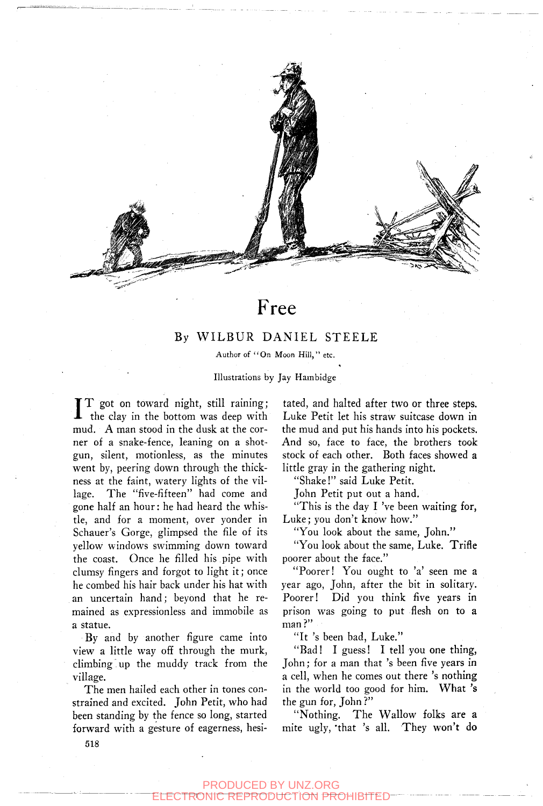

# Free

### By WILBUR DANIEL STEELE

Author of "On Moon Hill," etc.

Illustrations by Jay Hambidge

I T got on toward night, still raining; the clay in the bottom was deep with mud. A man stood in the dusk at the corner of a snake-fence, leaning on a shotgun, silent, motionless, as the minutes went by, peering down through the thickness at the faint, watery lights of the village. The "five-fifteen" had come and gone half an hour: he had heard the whistle, and for a moment, over yonder in Schauer's Gorge, glimpsed the file of its yellow windows swimming down toward the coast. Once he filled his pipe with clumsy fingers and forgot to light it; once he combed his hair back under his hat with an uncertain hand; beyond that he remained as expressionless and immobile as a statue.

By and by another figure came into view a little way off through the murk, climbing up the muddy track from the village.

The men hailed each other in tones constrained and excited. John Petit, who had been standing by the fence so long, started forward with a gesture of eagerness, hesitated, and halted after two or three steps. Luke Petit let his straw suitcase down in the mud and put his hands into his pockets. And so, face to face, the brothers took stock of each other. Both faces showed a little gray in the gathering night.

"Shake!" said Luke Petit.

John Petit put out a hand.

"This is the day I 've been waiting for, Luke; you don't know how."

"You look about the same, John."

"You look about the same, Luke. Trifle poorer about the face."

"Poorer! You ought to 'a' seen me a year ago, John, after the bit in solitary. Poorer! Did you think five years in prison was going to put flesh on to a man?"

"It 's been bad, Luke."

"Bad! I guess! I tell you one thing, John; for a man that 's been five years in a cell, when he comes out there 's nothing in the world too good for him. What 's the gun for, John ?"

"Nothing. The Wallow folks are a mite ugly, 'that 's all. They won't do

518

#### PRODUCED BY UNZ.ORG ELECTRONIC REPRODUCTION PROHIBITED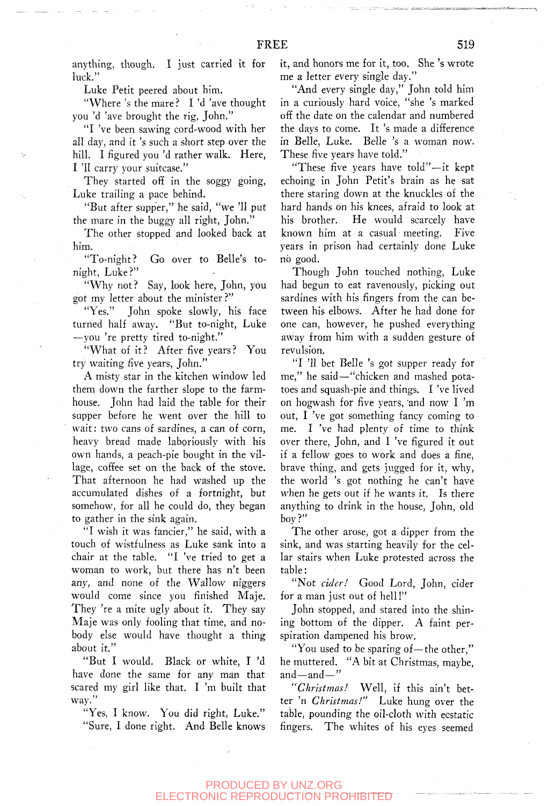anything, though. I just carried it for luck."

Luke Petit peered about him.

"Where 's the mare? I 'd 'ave thought you 'd 'ave brought the rig, John."

"I 've been sawing cord-wood with her all day, and it 's such a short step over the hill. I figured you 'd rather walk. Here, I 'II carry your suitcase."

They started off in the soggy going, Luke trailing a pace behind.

"But after supper," he said, "we '11 put the mare in the buggy all right, John."

The other stopped and looked back at him.

"To-night? Go over to Belle's tonight, Luke?"

"Why not? Say, look here, John, you got my letter about the minister?"

"Yes." John spoke slowly, his face turned half away. "But to-night, Luke —you 're pretty tired to-night."

"What of it? After five years? You try waiting five years, John."

A misty star in the kitchen window led them down the farther slope to the farmhouse. John had laid the table for their supper before he went over the hill to wait: two cans of sardines, a can of corn, heavy bread made laboriously with his own hands, a peach-pie bought in the village, coffee set on the back of the stove. That afternoon he had washed up the accumulated dishes of a fortnight, but somehow, for all he could do, they began to gather in the sink again.

"I wish it was fancier," he said, with a touch of wistfulness as Luke sank into a chair at the table. "I 've tried to get a woman to work, but there has n't been any, and none of the Wallow niggers would come since you finished Maje. They 're a mite ugly about it. They say Maje was only fooling that time, and nobody else would have thought a thing about it."

"But I would. Black or white, I 'd have done the same for any man that scared my girl like that. I 'm built that way."

"Yes, I know. You did right, Luke." "Sure, I done right. And Belle knows it, and honors me for it, too. She 's wrote me a letter every single day."

"And every single day," John told him in a curiously hard voice, "she 's marked off the date on the calendar and numbered the days to come. It 's made a difference in Belle, Luke. Belle 's a woman now. These five years have told."

"These five years have told"—it kept echoing in John Petit's brain as he sat there staring down at the knuckles of the hard hands on his knees, afraid to look at his brother. He would scarcely have known him at a casual meeting. Five years in prison had certainly done Luke no good.

Though John touched nothing, Luke had begun to eat ravenously, picking out sardines with his fingers from the can between his elbows. After he had done for one can, however, he pushed everything away from him with a sudden gesture of revulsion.

"I '11 bet Belle 's got supper ready for me," he said—"chicken and mashed potatoes and squash-pie and things. I 've lived on hogwash for five years, 'and now I 'm out, I 've got something fancy coming to me. I 've had plenty of time to think over there, John, and I 've figured it out if a fellow goes to work and does a fine, brave thing, and gets jugged for it, why, the world 's got nothing he can't have when he gets out if he wants it. Is there anything to drink in the house, John, old boy?"

The other arose, got a dipper from the sink, and was starting heavily for the cellar stairs when Luke protested across the table:

"Not *cider!* Good Lord, John, cider for a man just out of hell!"

John stopped, and stared into the shining bottom of the dipper. A faint perspiration dampened his brow.

"You used to be sparing of—the other," he muttered. "A bit at Christmas, maybe, and—and—"

*"Christmas!* Well, if this ain't better 'n *Christmas!"* Luke hung over the table, pounding the oil-cloth with ecstatic fingers. The whites of his eyes seemed

#### PRODUCED BY UNZ.ORG TRONIC REPRODUCTION PROHIBITED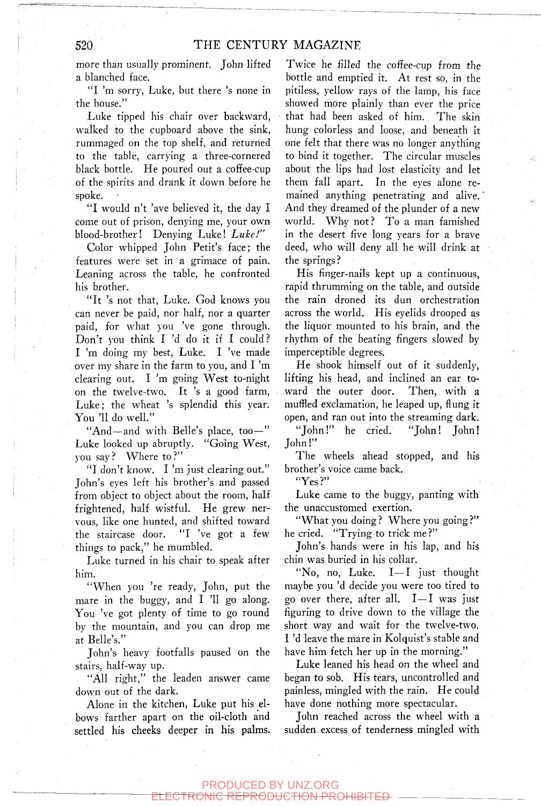more than usually prominent, John lifted a blanched face.

"I 'm sorry, Luke, but there 's none in the house."

Luke tipped his chair over backward, walked to the cupboard above the sink, rummaged on the top shelf, and returned to the table, carrying a three-cornered black bottle. He poured out a coffee-cup of the spirits and drank it down before he spoke.

"I would n't 'ave believed it, the day I come out of prison, denying me, your own blood-brother! Denying Luke! *Luke!"* 

Color whipped John Petit's face; the features were set in a grimace of pain. Leaning across the table, he confronted his brother.

"It 's not that, Luke. God knows you can never be paid, nor half, nor a quarter paid, for what you 've gone through. Don't you think I 'd do it if I could? I 'm doing my best, Luke. I 've made over my share in the farm to you, and I 'm clearing out. I 'm going West to-night on the twelve-two. It 's a good farm, Luke; the wheat 's splendid this year. You '11 do well."

"And—and with Belle's place, too—" Luke looked up abruptly. "Going West, you say? Where to?"

"I don't know. I 'm just clearing out." John's eyes left his brother's and passed from object to object about the room, half frightened, half wistful. He grew nervous, like one hunted, and shifted toward the staircase door. "I 've got a few things to pack," he mumbled.

Luke turned in his chair to speak after him.

"When you 're ready, John, put the mare in the buggy, and I '11 go along. You 've got plenty of time to go round by the mountain, and you can drop me at Belle's."

John's heavy footfalls paused on the stairs, half-way up.

"All right," the leaden answer came down out of the dark.

Alone in the kitchen, Luke put his elbows farther apart on the oil-cloth and settled his cheeks deeper in his palms.

Twice he filled the coffee-cup from the bottle and emptied it. At rest so, in the pitiless, yellow rays of the lamp, his face showed more plainly than ever the price that had been asked of him. The skin hung colorless and loose, and beneath it one felt that there was no longer anything to bind it together. The circular muscles about the lips had lost elasticity and let them fall apart. In the eyes alone remained anything penetrating and alive. And they dreamed of the plunder of a new world. Why not? To a man famished in the desert five long years for a brave deed, who will deny all he will drink at the springs?

His finger-nails kept up a continuous, rapid thrumming on the table, and outside the rain droned its dun orchestration across the world. His eyelids drooped as the liquor mounted to his brain, and the rhythm of the beating fingers slowed by imperceptible degrees.

He shook himself out of it suddenly, lifting his head, and inclined an ear toward the outer door. Then, with a muffled exclamation, he leaped up, flung it open, and ran out into the streaming dark.

"John!" he cried. "John! John! John!"

The wheels ahead stopped, and his brother's voice came back.

"Yes?"

Luke came to the buggy, panting with the unaccustomed exertion.

"What you doing? Where you going?" he cried. "Trying to trick me ?"

John's hands were in his lap, and his chin was buried in his collar.

"No, no, Luke. I—I just thought maybe you 'd decide you were too tired to go over there, after all. I—I was just figuring to drive down to the village the short way and wait for the twelve-two. I 'd leave the mare in Kolquist's stable and have him fetch her up in the morning."

Luke leaned his head on the wheel and began to sob. His tears, uncontrolled and painless, mingled with the rain. He could have done nothing more spectacular.

John reached across the wheel with a sudden.excess of tenderness mingled with

## PRODUCED BY UNZ.ORG

I<del>DHCTION PROHIBITE</del>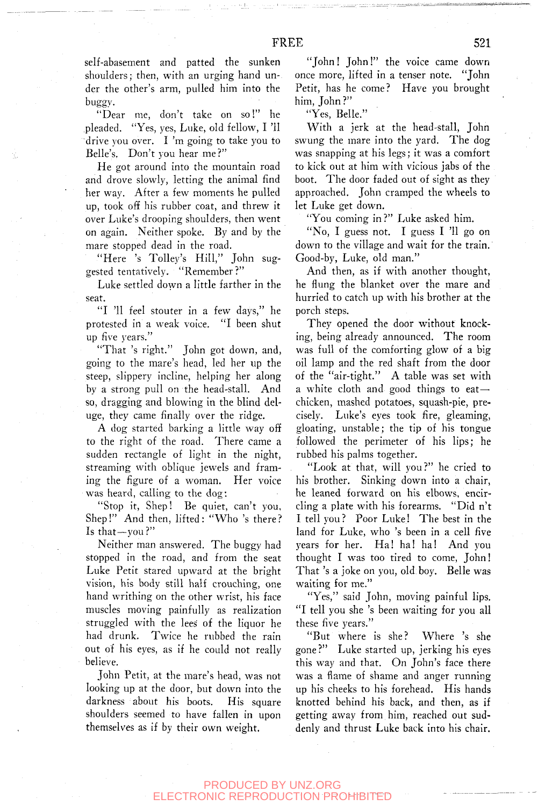self-abasement and patted the sunken shoulders; then, with an urging hand under the other's arm, pulled him into the buggy.

"Dear me, don't take on so!" he pleaded. "Yes, yes, Luke, old fellow, I 'II drive you over. I 'm going to take you to Belle's. Don't you hear me?"

He got around into the mountain road and drove slowly, letting the animal find her way. After a few moments he pulled up, took off his rubber coat, and threw it over Luke's drooping shoulders, then went on again. Neither spoke. By and by the mare stopped dead in the road.

"Here 's Tolley's Hill," John suggested tentatively. "Remember?"

Luke settled down a little farther in the seat.

"I '11 feel stouter in a few days," he protested in a weak voice. "I been shut up five years."

"That 's right." John got down, and, going to the mare's head, led her up the steep, slippery incline, helping her along by a strong pull on the head-stall. And so, dragging and blowing in the blind deluge, they came finally over the ridge.

A dog started barking a little way off to the right of the road. There came a sudden rectangle of light in the night, streaming with oblique jewels and framing the figure of a woman. Her voice was heard, calling to the dog:

"Stop it, Shep! Be quiet, can't you, Shep!" And then, lifted: "Who 's there? Is that—you?"

Neither man answered. The buggy had stopped in the road, and from the seat Luke Petit stared upward at the bright vision, his body still half crouching, one hand writhing on the other wrist, his face muscles moving painfully as realization struggled with the lees of the liquor he had drunk. Twice he rubbed the rain out of his eyes, as if he could not really believe.

John Petit, at the mare's head, was not looking up at the door, but down into the darkness about his boots. His square shoulders seemed to have fallen in upon themselves as if by their own weight.

"John! John!" the voice came down once more, lifted in a tenser note. "John Petit, has he come? Have you brought him, John?"

"Yes, Belle."

With a jerk at the head-stall, John swung the mare into the yard. The dog was snapping at his legs; it was a comfort to kick out at him with vicious jabs of the boot. The door faded out of sight as they approached. John cramped the wheels to let Luke get down.

"You coming in?" Luke asked him.

"No, I guess not. I guess I 'll go on down to the village and wait for the train. Good-by, Luke, old man."

And then, as if with another thought, he flung the blanket over the mare and hurried to catch up with his brother at the porch steps.

They opened the door without knocking, being already announced. The room was full of the comforting glow of a big oil lamp and the red shaft from the door of the "air-tight." A table was set with a white cloth and good things to eatchicken, mashed potatoes, squash-pie, precisely. Luke's eyes took fire, gleaming, gloating, unstable; the tip of his tongue followed the perimeter of his lips; he rubbed his palms together.

"Look at that, will you?" he cried to his brother. Sinking down into a chair, he leaned forward on his elbows, encircling a plate with his forearms. "Did n't I tell you ? Poor Luke! The best in the land for Luke, who 's been in a cell five years for her. Ha! ha! ha! And you thought I was too tired to come, John! That 's a joke on you, old boy. Belle was waiting for me."

"Yes," said John, moving painful lips. "I tell you she 's been waiting for you all these five years."

"But where is she? Where 's she gone?" Luke started up, jerking his eyes this way and that. On John's face there was a flame of shame and anger running up his cheeks to his forehead. His hands knotted behind his back, and then, as if getting away from him, reached out suddenly and thrust Luke back into his chair.

#### PRODUCED BY UNZ.ORG TRONIC REPRODUCTION PROHIBITED: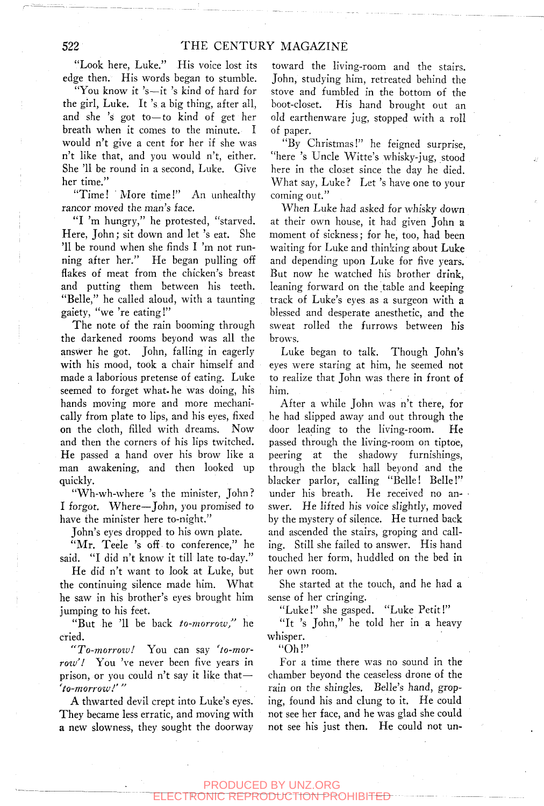"Look here, Luke." His voice lost its edge then. His words began to stumble.

"You know it 's—it 's kind of hard for the girl, Luke. It 's a big thing, after all, and she 's got to—to kind of get her breath when it comes to the minute. I would n't give a cent for her if she was n't like that, and you would n't, either. She '11 be round in a second, Luke. Give her time."

"Time! More time!" An unhealthy rancor moved the man's face.

"I 'm hungry," he protested, "starved. Here, John; sit down and let 's eat. She '11 be round when she finds I 'm not running after her." He began pulling off flakes of meat from the chicken's breast and putting them between his teeth. "Belle," he called aloud, with a taunting gaiety, "we 're eating!"

The note of the rain booming through the darkened rooms beyond was all the answer he got. John, falling in eagerly with his mood, took a chair himself and made a laborious pretense of eating. Luke seemed to forget what, he was doing, his hands moving more and more mechanically from plate to lips, and his eyes, fixed on the cloth, filled with dreams. Now and then the corners of his lips twitched. He passed a hand over his brow like a man awakening, and then looked up quickly.

"Wh-wh-where 's the minister, John? I forgot. Where—John, you promised to have the minister here to-night."

John's eyes dropped to his own plate.

"Mr. Teele 's off to conference," he said. "I did n't know it till late to-day."

He did n't want to look at Luke, but the continuing silence made him. What he saw in his brother's eyes brought him jumping to his feet.

"But he '11 be back *to-morrow"* he cried.

*"To-morroiu!* You can say *'to-morroiu'!* You 've never been five years in prison, or you could n't say it like that-*'to-morrow!'"* 

A thwarted devil crept into Luke's eyes. They became less erratic, and moving with a new slowness, they sought the doorway

toward the living-room and the stairs. John, studying him, retreated behind the stove and fumbled in the bottom of the boot-closet. His hand brought out an old earthenware jug, stopped with a roll of paper.

"By Christmas!" he feigned surprise, "here 's Uncle Witte's whisky-jug, stood here in the closet since the day he died. What say, Luke? Let 's have one to your coming out."

When Luke had asked for whisky down at their own house, it had given John a moment of sickness; for he, too, had been waiting for Luke and thinking about Luke and depending upon Luke for five years. But now he watched his brother drink, leaning forward on the table and keeping track of Luke's eyes as a surgeon with a blessed and desperate anesthetic, and the sweat rolled the furrows between his brows.

Luke began to talk. Though John's eyes were staring at him, he seemed not to realize that John was there in front of him.

After a while John was n't there, for he had slipped away and out through the door leading to the living-room. He passed through the living-room on tiptoe, peering at the shadowy furnishings, through the black hall beyond and the blacker parlor, calling "Belle! Belle!" under his breath. He received no answer. He lifted his voice slightly, moved by the mystery of silence. He turned back and ascended the stairs, groping and calling. Still she failed to answer. His hand touched her form, huddled on the bed in her own room.

She started at the touch, and he had a sense of her cringing.

"Luke!" she gasped. "Luke Petit!"

"It 's John," he told her in a heavy whisper.

 $"Oh!"$ 

For a time there was no sound in the chamber beyond the ceaseless drone of the rain on the shingles. Belle's hand, groping, found his and clung to it. He could not see her face, and he was glad she could not see his just then. He could not un-

PRODUCED BY UNZ.ORG ELECTRONIC REPRODUCTION PROHIBITED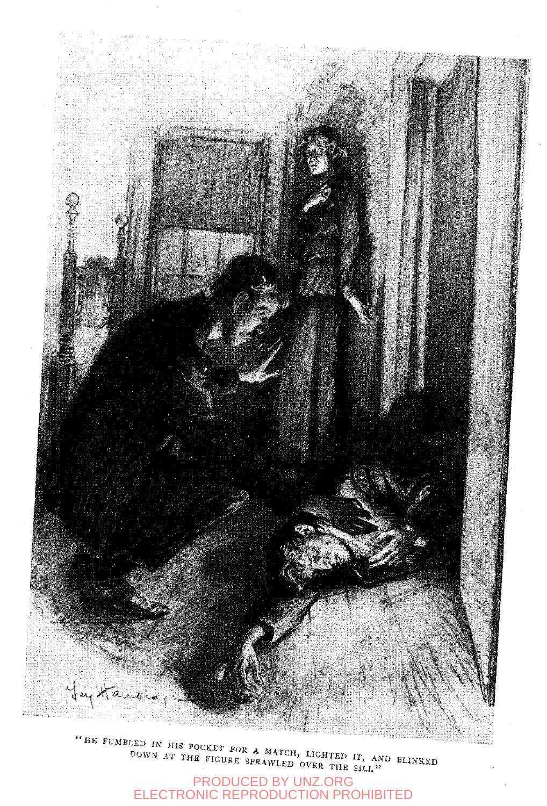

" HE FUMBLED IN HIS POCKET FOR A MATCH, LIGHTED IT, AND BLINKED DOWN AT THE FIGURE SPRAWLED OVER THE SILL."

PRODUCED BY UNZ.ORG ELECTRONIC REPRODUCTION PROHIBITED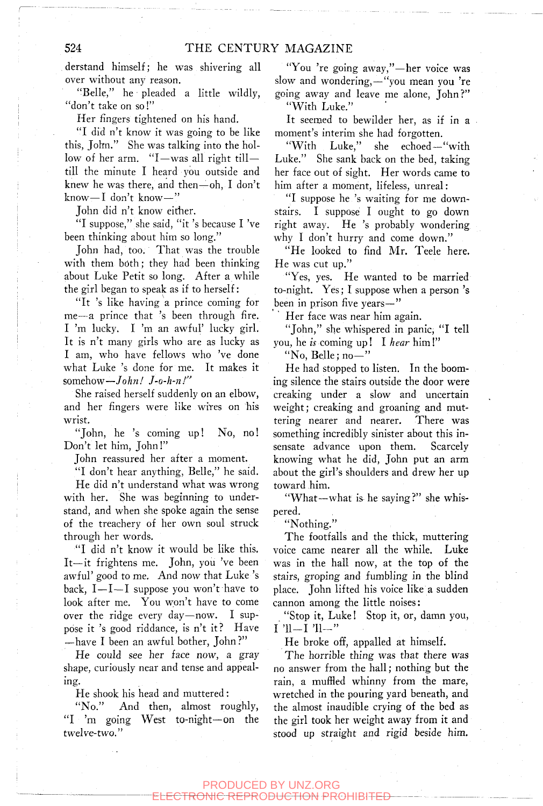derstand himself; he was shivering all over without any reason.

"Belle," he pleaded a little wildly, "don't take on so!"

Her fingers tightened on his hand.

"I did n't know it was going to be like this, John." She was talking into the hollow of her arm. "I—was all right till till the minute I heard you outside and knew he was there, and then $-$ oh, I don't know—I don't know—"

John did n't know either.

"I suppose," she said, "it 's because I 've been thinking about him so long."

John had, too. That was the trouble with them both; they had been thinking about Luke Petit so long. After a while the girl began to speak as if to herself:

"It 's like having a prince coming for me—a prince that 's been through fire. I 'm lucky. I 'm an awful' lucky girl. It is n't many girls who are as lucky as I am, who have fellows who 've done what Luke 's done for me. It makes it somehow—*John! J-o-h-n!"* 

She raised herself suddenly on an elbow, and her fingers were like wires on his wrist.

"John, he 's coming up! No, no! Don't let him, John!"

John reassured her after a moment.

"I don't hear anything, Belle," he said.

He did n't understand what was wrong with her. She was beginning to understand, and when she spoke again the sense of the treachery of her own soul struck through her words.

"I did n't know it would be like this. It—it frightens me. John, you 've been awful' good to me. And now that Luke 's back,  $I-I-I$  suppose you won't have to look after me. You won't have to come over the ridge every day—now. I suppose it 's good riddance, is n't it? Have —have I been an awful bother, John?"

He could see her face now, a gray shape, curiously near and tense and appealing.

He shook his head and muttered:

"No." And then, almost roughly, "I 'm going West to-night—on the twelve-two."

"You 're going away,"—her voice was slow and wondering,—"you mean you 're going away and leave me alone, John?" "With Luke."

It seemed to bewilder her, as if in a moment's interim she had forgotten.

"With Luke," she echoed—"with Luke." She sank back on the bed, taking her face out of sight. Her words came to him after a moment, lifeless, unreal:

"I suppose he 's waiting for me downstairs. I suppose I ought to go down right away. He 's probably wondering why I don't hurry and come down."

"He looked to find Mr. Teele here. He was cut up."

"Yes, yes. He wanted to be married to-night. Yes; I suppose when a person 's been in prison five years—"

Her face was near him again.

"John," she whispered in panic, "I tell you, he is coming up! I hear  $\lim'$ 

"No, Belle ;  $no-"$ 

He had stopped to listen. In the booming silence the stairs outside the door were creaking under a slow and uncertain weight; creaking and groaning and muttering nearer and nearer. There was something incredibly sinister about this insensate advance upon them. Scarcely knowing what he did, John put an arm about the girl's shoulders and drew her up toward him.

"What—what is he saying?" she whispered.

"Nothing."

The footfalls and the thick, muttering voice came nearer all the while. Luke was in the hall now, at the top of the stairs, groping and fumbling in the blind place. John lifted his voice like a sudden cannon among the little noises:

"Stop it, Luke! Stop it, or, damn you,  $I$  'll- $I$ 'll-"

He broke off, appalled at himself.

The horrible thing was that there was no answer from the hall; nothing but the rain, a muffled whinny from the mare, wretched in the pouring yard beneath, and the almost inaudible crying of the bed as the girl took her weight away from it and stood up straight and rigid beside him.

#### PRODUCED BY UNZ.ORG <del>DNIC REPRODUCTION PROHIBITE</del>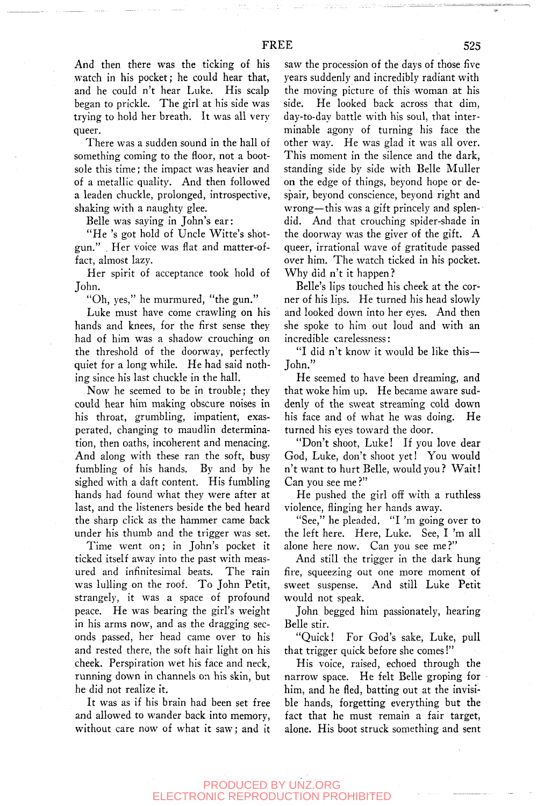And then there was the ticking of his watch in his pocket; he could hear that, and he could n't hear Luke. His scalp began to prickle. The girl at his side was trying to hold her breath. It was all very queer.

There was a sudden sound in the hall of something coming to the floor, not a bootsole this time; the impact was heavier and of a metallic quality. And then followed a leaden chuckle, prolonged, introspective, shaking with a naughty glee.

Belle was saying in John's ear:

" He 's got hold of Uncle Witte's shotgun." . Her voice was flat and matter-offact, almost lazy.

Her spirit of acceptance took hold of John.

"Oh, yes," he murmured, "the gun."

Luke must have come crawling on his hands and knees, for the first sense they had of him was a shadow crouching on the threshold of the doorway, perfectly quiet for a long while. He had said nothing since his last chuckle in the hall.

Now he seemed to be in trouble; they could hear him making obscure noises in his throat, grumbling, impatient, exasperated, changing to maudlin determination, then oaths, incoherent and menacing. And along with these ran the soft, busy fumbling of his hands. By and by he sighed with a daft content. His fumbling hands had found what they were after at last, and the listeners beside the bed heard the sharp click as the hammer came back under his thumb and the trigger was set.

Time went on; in John's pocket it ticked itself away into the past with measured and infinitesimal beats. The rain was lulling on the roof. To John Petit, strangely, it was a space of profound peace. He was bearing the girl's weight in his arms now, and as the dragging seconds passed, her head came over to his and rested there, the soft hair light on his cheek. Perspiration wet his face and neck, running down in channels on his skin, but he did not realize it.

It was as if his brain had been set free and allowed to wander back into memory, without care now of what it saw; and it

saw the procession of the days of those five years suddenly and incredibly radiant with the moving picture of this woman at his side. He looked back across that dim, day-to-day battle with his soul, that interminable agony of turning his face the other way. He was glad it was all over. This moment in the silence and the dark, standing side by side with Belle Muller on the edge of things, beyond hope or despair, beyond conscience, beyond right and wrong—this was a gift princely and splendid. And that crouching spider-shade in the doorway was the giver of the gift. A queer, irrational wave of gratitude passed over him. The watch ticked in his pocket. Why did n't it happen?

Belle's lips touched his cheek at the corner of his lips. He turned his head slowly and looked down into her eyes. And then she spoke to him out loud and with an incredible carelessness:

"I did n't know it would be like this— John."

He seemed to have been dreaming, and that woke him up. He became aware suddenly of the sweat streaming cold down his face and of what he was doing. He turned his eyes toward the door.

"Don't shoot, Luke! If you love dear God, Luke, don't shoot yet! You would n't want to hurt Belle, would you ? Wait! Can you see me ?"

He pushed the girl off with a ruthless violence, flinging her hands away.

"See," he pleaded. "I 'm going over to the left here. Here, Luke. See, I 'm all alone here now. Can you see me?"

And still the trigger in the dark hung fire, squeezing out one more moment of sweet suspense. And still Luke Petit would not speak.

John begged him passionately, hearing Belle stir.

"Quick! For God's sake, Luke, pull that trigger quick before she comes!"

His voice, raised, echoed through the narrow space. He felt Belle groping for him, and he fled, batting out at the invisible hands, forgetting everything but the fact that he must remain a fair target, alone. His boot struck something and sent